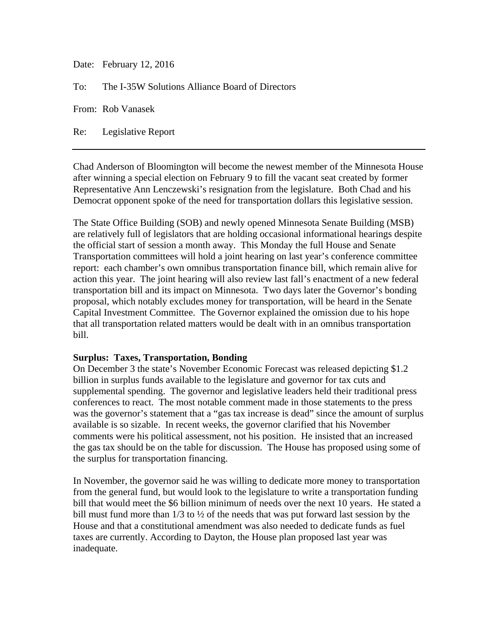Date: February 12, 2016

To: The I-35W Solutions Alliance Board of Directors

From: Rob Vanasek

Re: Legislative Report

Chad Anderson of Bloomington will become the newest member of the Minnesota House after winning a special election on February 9 to fill the vacant seat created by former Representative Ann Lenczewski's resignation from the legislature. Both Chad and his Democrat opponent spoke of the need for transportation dollars this legislative session.

The State Office Building (SOB) and newly opened Minnesota Senate Building (MSB) are relatively full of legislators that are holding occasional informational hearings despite the official start of session a month away. This Monday the full House and Senate Transportation committees will hold a joint hearing on last year's conference committee report: each chamber's own omnibus transportation finance bill, which remain alive for action this year. The joint hearing will also review last fall's enactment of a new federal transportation bill and its impact on Minnesota. Two days later the Governor's bonding proposal, which notably excludes money for transportation, will be heard in the Senate Capital Investment Committee. The Governor explained the omission due to his hope that all transportation related matters would be dealt with in an omnibus transportation bill.

## **Surplus: Taxes, Transportation, Bonding**

On December 3 the state's November Economic Forecast was released depicting \$1.2 billion in surplus funds available to the legislature and governor for tax cuts and supplemental spending. The governor and legislative leaders held their traditional press conferences to react. The most notable comment made in those statements to the press was the governor's statement that a "gas tax increase is dead" since the amount of surplus available is so sizable. In recent weeks, the governor clarified that his November comments were his political assessment, not his position. He insisted that an increased the gas tax should be on the table for discussion. The House has proposed using some of the surplus for transportation financing.

In November, the governor said he was willing to dedicate more money to transportation from the general fund, but would look to the legislature to write a transportation funding bill that would meet the \$6 billion minimum of needs over the next 10 years. He stated a bill must fund more than 1/3 to ½ of the needs that was put forward last session by the House and that a constitutional amendment was also needed to dedicate funds as fuel taxes are currently. According to Dayton, the House plan proposed last year was inadequate.